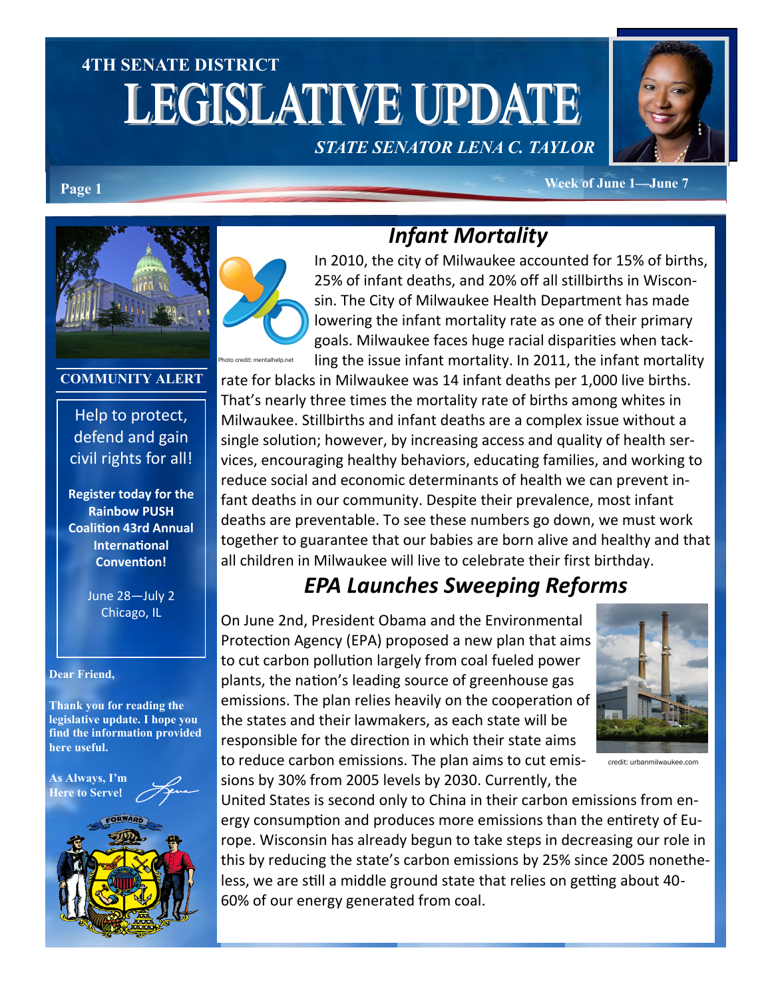# **4TH SENATE DISTRICT LEGISLATIVE UPDATE**

*STATE SENATOR LENA C. TAYLOR*



**Page 1 Week of June 1—June 7** 



#### **COMMUNITY ALERT**

Help to protect, defend and gain civil rights for all!

**Register today for the Rainbow PUSH Coalition 43rd Annual International Convention!**

> June 28—July 2 Chicago, IL

#### **Dear Friend,**

**Thank you for reading the legislative update. I hope you find the information provided here useful.**

**As Always, I'm Here to Serve**!





# *Infant Mortality*

In 2010, the city of Milwaukee accounted for 15% of births, 25% of infant deaths, and 20% off all stillbirths in Wisconsin. The City of Milwaukee Health Department has made lowering the infant mortality rate as one of their primary goals. Milwaukee faces huge racial disparities when tackling the issue infant mortality. In 2011, the infant mortality

rate for blacks in Milwaukee was 14 infant deaths per 1,000 live births. That's nearly three times the mortality rate of births among whites in Milwaukee. Stillbirths and infant deaths are a complex issue without a single solution; however, by increasing access and quality of health services, encouraging healthy behaviors, educating families, and working to reduce social and economic determinants of health we can prevent infant deaths in our community. Despite their prevalence, most infant deaths are preventable. To see these numbers go down, we must work together to guarantee that our babies are born alive and healthy and that all children in Milwaukee will live to celebrate their first birthday.

#### *EPA Launches Sweeping Reforms*

On June 2nd, President Obama and the Environmental Protection Agency (EPA) proposed a new plan that aims to cut carbon pollution largely from coal fueled power plants, the nation's leading source of greenhouse gas emissions. The plan relies heavily on the cooperation of the states and their lawmakers, as each state will be responsible for the direction in which their state aims to reduce carbon emissions. The plan aims to cut emissions by 30% from 2005 levels by 2030. Currently, the



credit: urbanmilwaukee.com

United States is second only to China in their carbon emissions from energy consumption and produces more emissions than the entirety of Europe. Wisconsin has already begun to take steps in decreasing our role in this by reducing the state's carbon emissions by 25% since 2005 nonetheless, we are still a middle ground state that relies on getting about 40- 60% of our energy generated from coal.